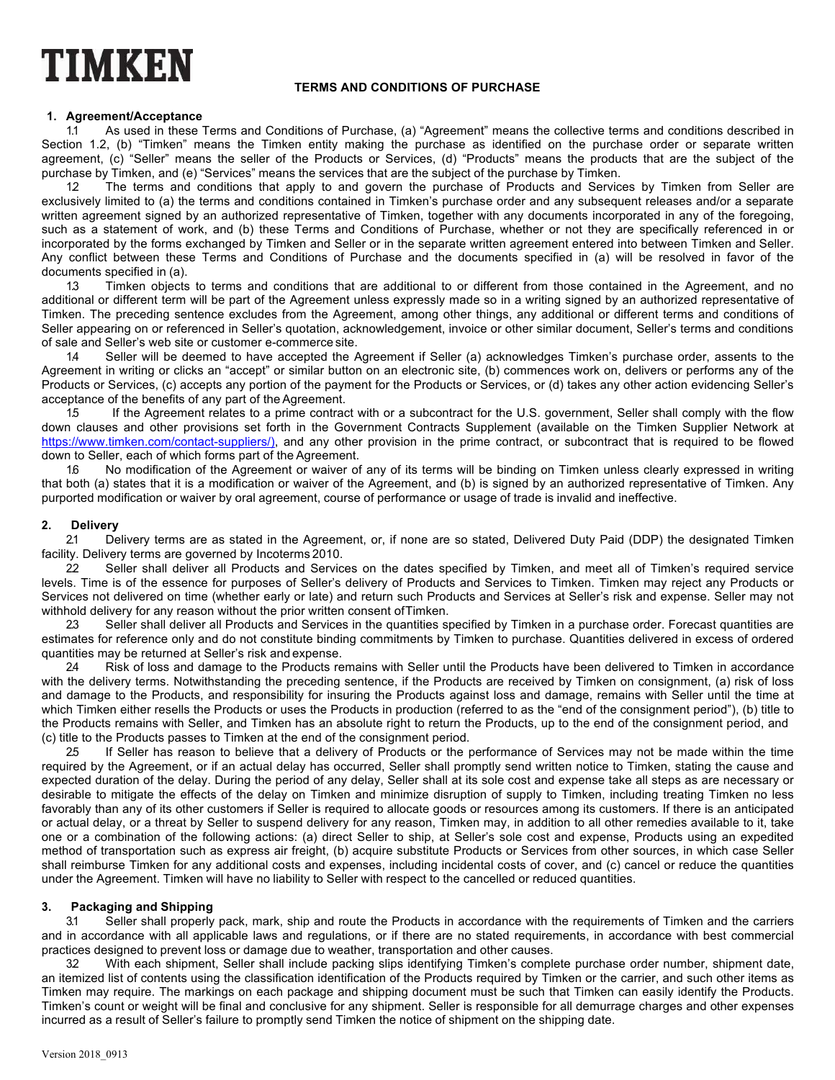# TIMKEN

# **TERMS AND CONDITIONS OF PURCHASE**

## **1. Agreement/Acceptance**

1.1 As used in these Terms and Conditions of Purchase, (a) "Agreement" means the collective terms and conditions described in Section 1.2, (b) "Timken" means the Timken entity making the purchase as identified on the purchase order or separate written agreement, (c) "Seller" means the seller of the Products or Services, (d) "Products" means the products that are the subject of the purchase by Timken, and (e) "Services" means the services that are the subject of the purchase by Timken.

12 The terms and conditions that apply to and govern the purchase of Products and Services by Timken from Seller are exclusively limited to (a) the terms and conditions contained in Timken's purchase order and any subsequent releases and/or a separate written agreement signed by an authorized representative of Timken, together with any documents incorporated in any of the foregoing, such as a statement of work, and (b) these Terms and Conditions of Purchase, whether or not they are specifically referenced in or incorporated by the forms exchanged by Timken and Seller or in the separate written agreement entered into between Timken and Seller. Any conflict between these Terms and Conditions of Purchase and the documents specified in (a) will be resolved in favor of the documents specified in (a).

1.3 Timken objects to terms and conditions that are additional to or different from those contained in the Agreement, and no additional or different term will be part of the Agreement unless expressly made so in a writing signed by an authorized representative of Timken. The preceding sentence excludes from the Agreement, among other things, any additional or different terms and conditions of Seller appearing on or referenced in Seller's quotation, acknowledgement, invoice or other similar document, Seller's terms and conditions of sale and Seller's web site or customer e-commerce site.

1.4 Seller will be deemed to have accepted the Agreement if Seller (a) acknowledges Timken's purchase order, assents to the Agreement in writing or clicks an "accept" or similar button on an electronic site, (b) commences work on, delivers or performs any of the Products or Services, (c) accepts any portion of the payment for the Products or Services, or (d) takes any other action evidencing Seller's acceptance of the benefits of any part of the Agreement.

1.5 If the Agreement relates to a prime contract with or a subcontract for the U.S. government, Seller shall comply with the flow down clauses and other provisions set forth in the Government Contracts Supplement (available on the Timken Supplier Network at https://www.timken.com/contact-suppliers/), and any other provision in the prime contract, or subcontract that is required to be flowed down to Seller, each of which forms part of the Agreement.

No modification of the Agreement or waiver of any of its terms will be binding on Timken unless clearly expressed in writing that both (a) states that it is a modification or waiver of the Agreement, and (b) is signed by an authorized representative of Timken. Any purported modification or waiver by oral agreement, course of performance or usage of trade is invalid and ineffective.

# **2. Delivery**

2.1 Delivery terms are as stated in the Agreement, or, if none are so stated, Delivered Duty Paid (DDP) the designated Timken facility. Delivery terms are governed by Incoterms 2010.

22 Seller shall deliver all Products and Services on the dates specified by Timken, and meet all of Timken's required service levels. Time is of the essence for purposes of Seller's delivery of Products and Services to Timken. Timken may reject any Products or Services not delivered on time (whether early or late) and return such Products and Services at Seller's risk and expense. Seller may not withhold delivery for any reason without the prior written consent ofTimken.

2.3 Seller shall deliver all Products and Services in the quantities specified by Timken in a purchase order. Forecast quantities are estimates for reference only and do not constitute binding commitments by Timken to purchase. Quantities delivered in excess of ordered quantities may be returned at Seller's risk and expense.

24 Risk of loss and damage to the Products remains with Seller until the Products have been delivered to Timken in accordance with the delivery terms. Notwithstanding the preceding sentence, if the Products are received by Timken on consignment, (a) risk of loss and damage to the Products, and responsibility for insuring the Products against loss and damage, remains with Seller until the time at which Timken either resells the Products or uses the Products in production (referred to as the "end of the consignment period"), (b) title to the Products remains with Seller, and Timken has an absolute right to return the Products, up to the end of the consignment period, and (c) title to the Products passes to Timken at the end of the consignment period.

2.5 If Seller has reason to believe that a delivery of Products or the performance of Services may not be made within the time required by the Agreement, or if an actual delay has occurred, Seller shall promptly send written notice to Timken, stating the cause and expected duration of the delay. During the period of any delay, Seller shall at its sole cost and expense take all steps as are necessary or desirable to mitigate the effects of the delay on Timken and minimize disruption of supply to Timken, including treating Timken no less favorably than any of its other customers if Seller is required to allocate goods or resources among its customers. If there is an anticipated or actual delay, or a threat by Seller to suspend delivery for any reason, Timken may, in addition to all other remedies available to it, take one or a combination of the following actions: (a) direct Seller to ship, at Seller's sole cost and expense, Products using an expedited method of transportation such as express air freight, (b) acquire substitute Products or Services from other sources, in which case Seller shall reimburse Timken for any additional costs and expenses, including incidental costs of cover, and (c) cancel or reduce the quantities under the Agreement. Timken will have no liability to Seller with respect to the cancelled or reduced quantities.

## **3. Packaging and Shipping**

3.1 Seller shall properly pack, mark, ship and route the Products in accordance with the requirements of Timken and the carriers and in accordance with all applicable laws and regulations, or if there are no stated requirements, in accordance with best commercial practices designed to prevent loss or damage due to weather, transportation and other causes.

3.2 With each shipment, Seller shall include packing slips identifying Timken's complete purchase order number, shipment date, an itemized list of contents using the classification identification of the Products required by Timken or the carrier, and such other items as Timken may require. The markings on each package and shipping document must be such that Timken can easily identify the Products. Timken's count or weight will be final and conclusive for any shipment. Seller is responsible for all demurrage charges and other expenses incurred as a result of Seller's failure to promptly send Timken the notice of shipment on the shipping date.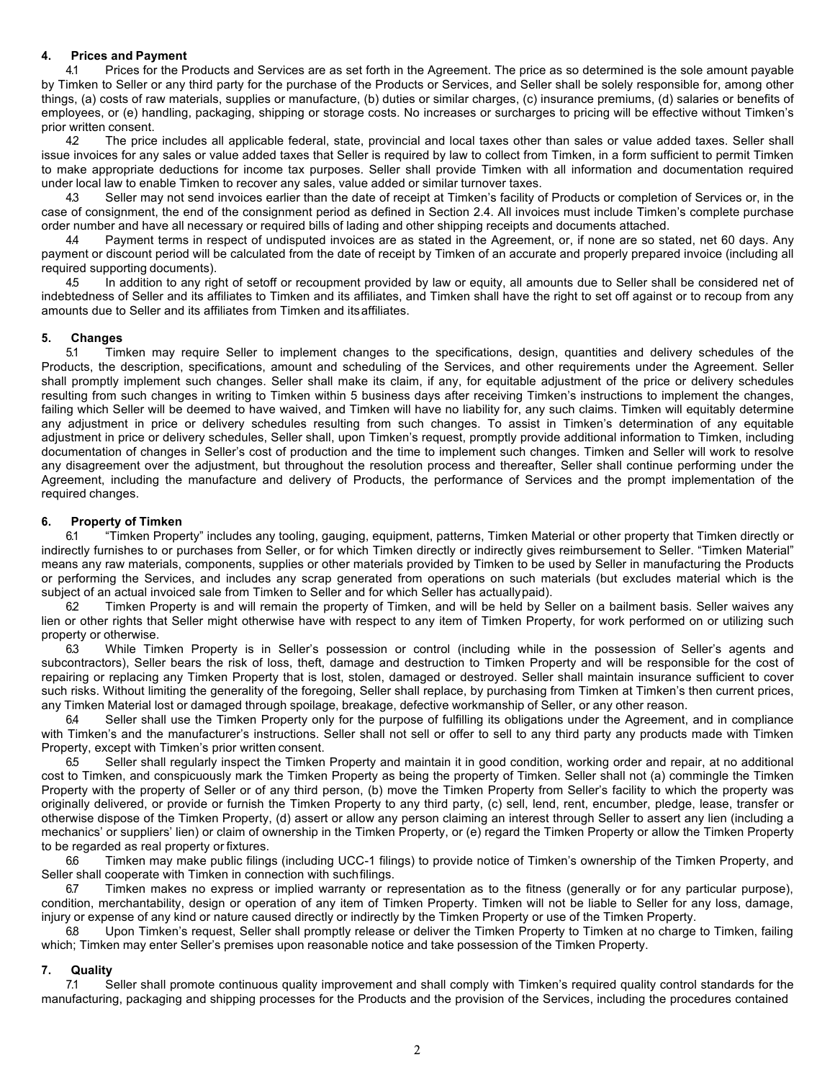#### **4. Prices and Payment**

4.1 Prices for the Products and Services are as set forth in the Agreement. The price as so determined is the sole amount payable by Timken to Seller or any third party for the purchase of the Products or Services, and Seller shall be solely responsible for, among other things, (a) costs of raw materials, supplies or manufacture, (b) duties or similar charges, (c) insurance premiums, (d) salaries or benefits of employees, or (e) handling, packaging, shipping or storage costs. No increases or surcharges to pricing will be effective without Timken's prior written consent.

42 The price includes all applicable federal, state, provincial and local taxes other than sales or value added taxes. Seller shall issue invoices for any sales or value added taxes that Seller is required by law to collect from Timken, in a form sufficient to permit Timken to make appropriate deductions for income tax purposes. Seller shall provide Timken with all information and documentation required under local law to enable Timken to recover any sales, value added or similar turnover taxes.

4.3 Seller may not send invoices earlier than the date of receipt at Timken's facility of Products or completion of Services or, in the case of consignment, the end of the consignment period as defined in Section 2.4. All invoices must include Timken's complete purchase order number and have all necessary or required bills of lading and other shipping receipts and documents attached.

4.4 Payment terms in respect of undisputed invoices are as stated in the Agreement, or, if none are so stated, net 60 days. Any payment or discount period will be calculated from the date of receipt by Timken of an accurate and properly prepared invoice (including all required supporting documents).

4.5 In addition to any right of setoff or recoupment provided by law or equity, all amounts due to Seller shall be considered net of indebtedness of Seller and its affiliates to Timken and its affiliates, and Timken shall have the right to set off against or to recoup from any amounts due to Seller and its affiliates from Timken and itsaffiliates.

#### **5. Changes**

5.1 Timken may require Seller to implement changes to the specifications, design, quantities and delivery schedules of the Products, the description, specifications, amount and scheduling of the Services, and other requirements under the Agreement. Seller shall promptly implement such changes. Seller shall make its claim, if any, for equitable adjustment of the price or delivery schedules resulting from such changes in writing to Timken within 5 business days after receiving Timken's instructions to implement the changes, failing which Seller will be deemed to have waived, and Timken will have no liability for, any such claims. Timken will equitably determine any adjustment in price or delivery schedules resulting from such changes. To assist in Timken's determination of any equitable adjustment in price or delivery schedules, Seller shall, upon Timken's request, promptly provide additional information to Timken, including documentation of changes in Seller's cost of production and the time to implement such changes. Timken and Seller will work to resolve any disagreement over the adjustment, but throughout the resolution process and thereafter, Seller shall continue performing under the Agreement, including the manufacture and delivery of Products, the performance of Services and the prompt implementation of the required changes.

#### **6. Property of Timken**

6.1 "Timken Property" includes any tooling, gauging, equipment, patterns, Timken Material or other property that Timken directly or indirectly furnishes to or purchases from Seller, or for which Timken directly or indirectly gives reimbursement to Seller. "Timken Material" means any raw materials, components, supplies or other materials provided by Timken to be used by Seller in manufacturing the Products or performing the Services, and includes any scrap generated from operations on such materials (but excludes material which is the subject of an actual invoiced sale from Timken to Seller and for which Seller has actuallypaid).

62 Timken Property is and will remain the property of Timken, and will be held by Seller on a bailment basis. Seller waives any lien or other rights that Seller might otherwise have with respect to any item of Timken Property, for work performed on or utilizing such property or otherwise.

6.3 While Timken Property is in Seller's possession or control (including while in the possession of Seller's agents and subcontractors), Seller bears the risk of loss, theft, damage and destruction to Timken Property and will be responsible for the cost of repairing or replacing any Timken Property that is lost, stolen, damaged or destroyed. Seller shall maintain insurance sufficient to cover such risks. Without limiting the generality of the foregoing, Seller shall replace, by purchasing from Timken at Timken's then current prices, any Timken Material lost or damaged through spoilage, breakage, defective workmanship of Seller, or any other reason.

6.4 Seller shall use the Timken Property only for the purpose of fulfilling its obligations under the Agreement, and in compliance with Timken's and the manufacturer's instructions. Seller shall not sell or offer to sell to any third party any products made with Timken Property, except with Timken's prior written consent.

6.5 Seller shall regularly inspect the Timken Property and maintain it in good condition, working order and repair, at no additional cost to Timken, and conspicuously mark the Timken Property as being the property of Timken. Seller shall not (a) commingle the Timken Property with the property of Seller or of any third person, (b) move the Timken Property from Seller's facility to which the property was originally delivered, or provide or furnish the Timken Property to any third party, (c) sell, lend, rent, encumber, pledge, lease, transfer or otherwise dispose of the Timken Property, (d) assert or allow any person claiming an interest through Seller to assert any lien (including a mechanics' or suppliers' lien) or claim of ownership in the Timken Property, or (e) regard the Timken Property or allow the Timken Property to be regarded as real property or fixtures.

6.6 Timken may make public filings (including UCC-1 filings) to provide notice of Timken's ownership of the Timken Property, and Seller shall cooperate with Timken in connection with suchfilings.

6.7 Timken makes no express or implied warranty or representation as to the fitness (generally or for any particular purpose), condition, merchantability, design or operation of any item of Timken Property. Timken will not be liable to Seller for any loss, damage, injury or expense of any kind or nature caused directly or indirectly by the Timken Property or use of the Timken Property.

6.8 Upon Timken's request, Seller shall promptly release or deliver the Timken Property to Timken at no charge to Timken, failing which; Timken may enter Seller's premises upon reasonable notice and take possession of the Timken Property.

#### **7. Quality**

7.1 Seller shall promote continuous quality improvement and shall comply with Timken's required quality control standards for the manufacturing, packaging and shipping processes for the Products and the provision of the Services, including the procedures contained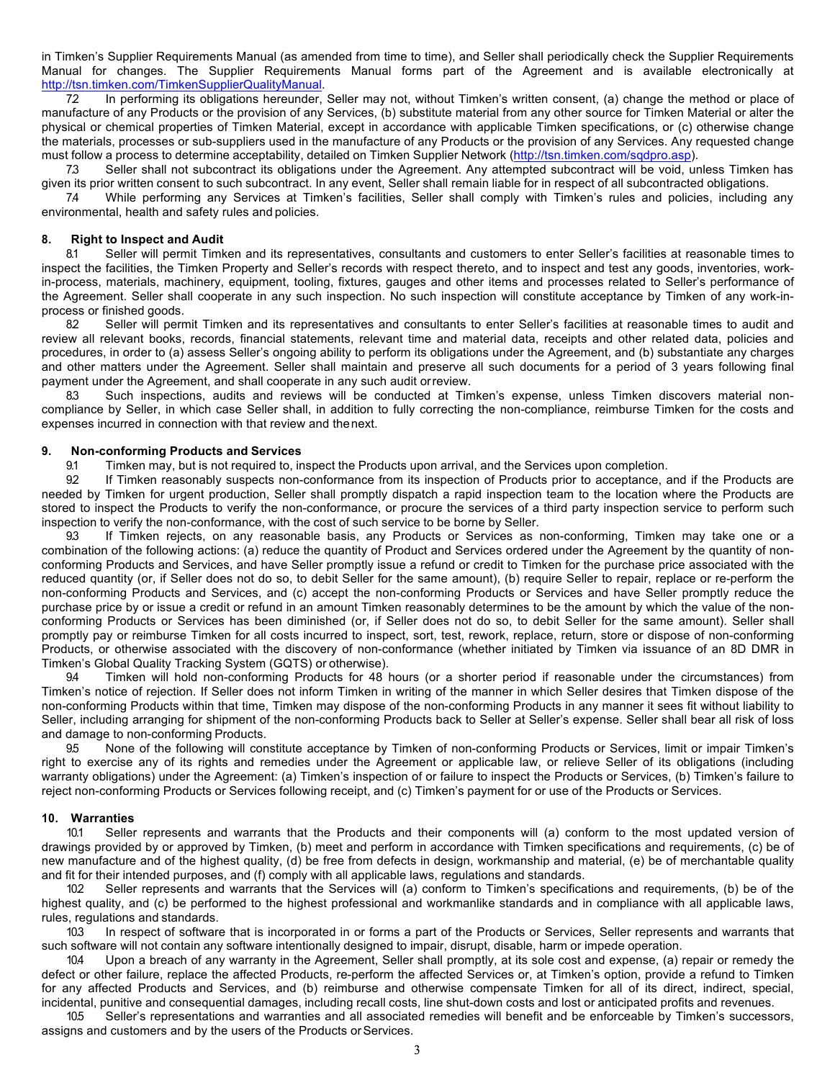in Timken's Supplier Requirements Manual (as amended from time to time), and Seller shall periodically check the Supplier Requirements Manual for changes. The Supplier Requirements Manual forms part of the Agreement and is available electronically at http://tsn.timken.com/TimkenSupplierQualityManual.

7.2 In performing its obligations hereunder, Seller may not, without Timken's written consent, (a) change the method or place of manufacture of any Products or the provision of any Services, (b) substitute material from any other source for Timken Material or alter the physical or chemical properties of Timken Material, except in accordance with applicable Timken specifications, or (c) otherwise change the materials, processes or sub-suppliers used in the manufacture of any Products or the provision of any Services. Any requested change must follow a process to determine acceptability, detailed on Timken Supplier Network (http://tsn.timken.com/sqdpro.asp).

7.3 Seller shall not subcontract its obligations under the Agreement. Any attempted subcontract will be void, unless Timken has given its prior written consent to such subcontract. In any event, Seller shall remain liable for in respect of all subcontracted obligations.

7.4 While performing any Services at Timken's facilities, Seller shall comply with Timken's rules and policies, including any environmental, health and safety rules and policies.

# **8. Right to Inspect and Audit**

Seller will permit Timken and its representatives, consultants and customers to enter Seller's facilities at reasonable times to inspect the facilities, the Timken Property and Seller's records with respect thereto, and to inspect and test any goods, inventories, workin-process, materials, machinery, equipment, tooling, fixtures, gauges and other items and processes related to Seller's performance of the Agreement. Seller shall cooperate in any such inspection. No such inspection will constitute acceptance by Timken of any work-inprocess or finished goods.

82 Seller will permit Timken and its representatives and consultants to enter Seller's facilities at reasonable times to audit and review all relevant books, records, financial statements, relevant time and material data, receipts and other related data, policies and procedures, in order to (a) assess Seller's ongoing ability to perform its obligations under the Agreement, and (b) substantiate any charges and other matters under the Agreement. Seller shall maintain and preserve all such documents for a period of 3 years following final payment under the Agreement, and shall cooperate in any such audit or review.

8.3 Such inspections, audits and reviews will be conducted at Timken's expense, unless Timken discovers material noncompliance by Seller, in which case Seller shall, in addition to fully correcting the non-compliance, reimburse Timken for the costs and expenses incurred in connection with that review and thenext.

#### **9. Non-conforming Products and Services**

9.1 Timken may, but is not required to, inspect the Products upon arrival, and the Services upon completion.

92 If Timken reasonably suspects non-conformance from its inspection of Products prior to acceptance, and if the Products are needed by Timken for urgent production, Seller shall promptly dispatch a rapid inspection team to the location where the Products are stored to inspect the Products to verify the non-conformance, or procure the services of a third party inspection service to perform such inspection to verify the non-conformance, with the cost of such service to be borne by Seller.

9.3 If Timken rejects, on any reasonable basis, any Products or Services as non-conforming, Timken may take one or a combination of the following actions: (a) reduce the quantity of Product and Services ordered under the Agreement by the quantity of nonconforming Products and Services, and have Seller promptly issue a refund or credit to Timken for the purchase price associated with the reduced quantity (or, if Seller does not do so, to debit Seller for the same amount), (b) require Seller to repair, replace or re-perform the non-conforming Products and Services, and (c) accept the non-conforming Products or Services and have Seller promptly reduce the purchase price by or issue a credit or refund in an amount Timken reasonably determines to be the amount by which the value of the nonconforming Products or Services has been diminished (or, if Seller does not do so, to debit Seller for the same amount). Seller shall promptly pay or reimburse Timken for all costs incurred to inspect, sort, test, rework, replace, return, store or dispose of non-conforming Products, or otherwise associated with the discovery of non-conformance (whether initiated by Timken via issuance of an 8D DMR in Timken's Global Quality Tracking System (GQTS) or otherwise).

Timken will hold non-conforming Products for 48 hours (or a shorter period if reasonable under the circumstances) from Timken's notice of rejection. If Seller does not inform Timken in writing of the manner in which Seller desires that Timken dispose of the non-conforming Products within that time, Timken may dispose of the non-conforming Products in any manner it sees fit without liability to Seller, including arranging for shipment of the non-conforming Products back to Seller at Seller's expense. Seller shall bear all risk of loss and damage to non-conforming Products.

9.5 None of the following will constitute acceptance by Timken of non-conforming Products or Services, limit or impair Timken's right to exercise any of its rights and remedies under the Agreement or applicable law, or relieve Seller of its obligations (including warranty obligations) under the Agreement: (a) Timken's inspection of or failure to inspect the Products or Services, (b) Timken's failure to reject non-conforming Products or Services following receipt, and (c) Timken's payment for or use of the Products or Services.

#### **10. Warranties**

10.1 Seller represents and warrants that the Products and their components will (a) conform to the most updated version of drawings provided by or approved by Timken, (b) meet and perform in accordance with Timken specifications and requirements, (c) be of new manufacture and of the highest quality, (d) be free from defects in design, workmanship and material, (e) be of merchantable quality and fit for their intended purposes, and (f) comply with all applicable laws, regulations and standards.

10.2 Seller represents and warrants that the Services will (a) conform to Timken's specifications and requirements, (b) be of the highest quality, and (c) be performed to the highest professional and workmanlike standards and in compliance with all applicable laws, rules, regulations and standards.

10.3 In respect of software that is incorporated in or forms a part of the Products or Services, Seller represents and warrants that such software will not contain any software intentionally designed to impair, disrupt, disable, harm or impede operation.

10.4 Upon a breach of any warranty in the Agreement, Seller shall promptly, at its sole cost and expense, (a) repair or remedy the defect or other failure, replace the affected Products, re-perform the affected Services or, at Timken's option, provide a refund to Timken for any affected Products and Services, and (b) reimburse and otherwise compensate Timken for all of its direct, indirect, special, incidental, punitive and consequential damages, including recall costs, line shut-down costs and lost or anticipated profits and revenues.

10.5 Seller's representations and warranties and all associated remedies will benefit and be enforceable by Timken's successors, assigns and customers and by the users of the Products or Services.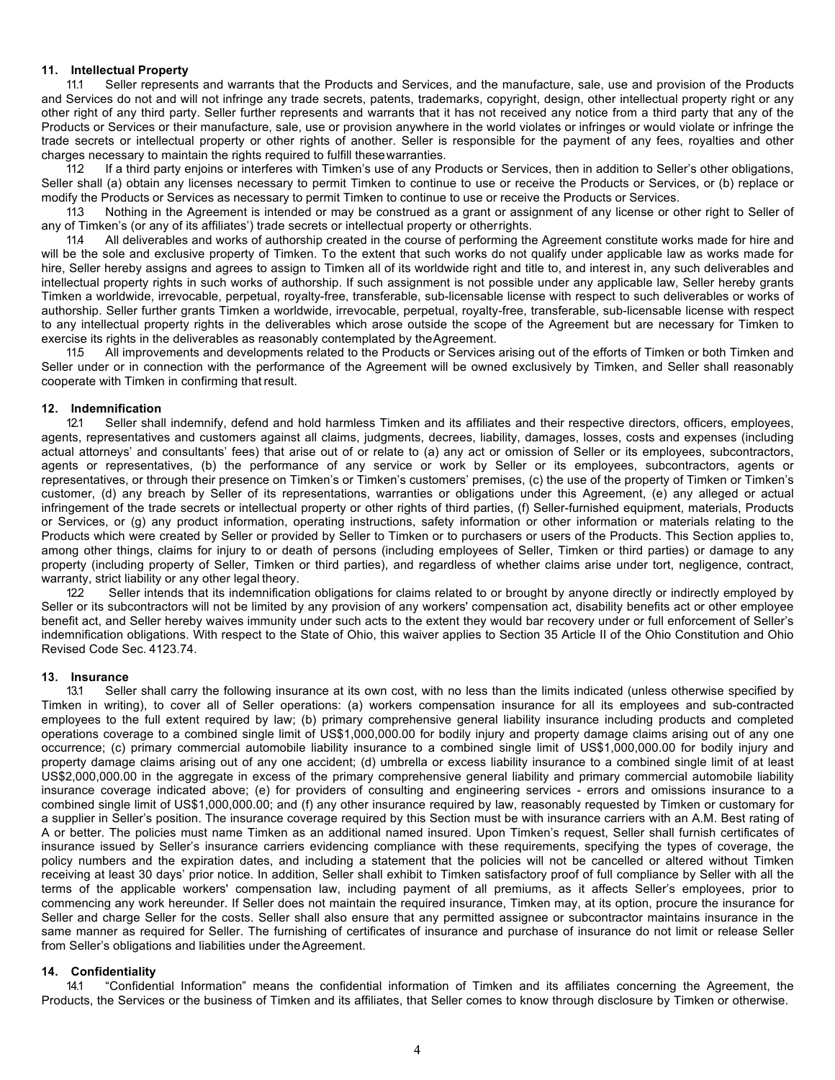#### **11. Intellectual Property**

11.1 Seller represents and warrants that the Products and Services, and the manufacture, sale, use and provision of the Products and Services do not and will not infringe any trade secrets, patents, trademarks, copyright, design, other intellectual property right or any other right of any third party. Seller further represents and warrants that it has not received any notice from a third party that any of the Products or Services or their manufacture, sale, use or provision anywhere in the world violates or infringes or would violate or infringe the trade secrets or intellectual property or other rights of another. Seller is responsible for the payment of any fees, royalties and other charges necessary to maintain the rights required to fulfill thesewarranties.

11.2 If a third party enjoins or interferes with Timken's use of any Products or Services, then in addition to Seller's other obligations, Seller shall (a) obtain any licenses necessary to permit Timken to continue to use or receive the Products or Services, or (b) replace or modify the Products or Services as necessary to permit Timken to continue to use or receive the Products or Services.

11.3 Nothing in the Agreement is intended or may be construed as a grant or assignment of any license or other right to Seller of any of Timken's (or any of its affiliates') trade secrets or intellectual property or otherrights.

11.4 All deliverables and works of authorship created in the course of performing the Agreement constitute works made for hire and will be the sole and exclusive property of Timken. To the extent that such works do not qualify under applicable law as works made for hire, Seller hereby assigns and agrees to assign to Timken all of its worldwide right and title to, and interest in, any such deliverables and intellectual property rights in such works of authorship. If such assignment is not possible under any applicable law, Seller hereby grants Timken a worldwide, irrevocable, perpetual, royalty-free, transferable, sub-licensable license with respect to such deliverables or works of authorship. Seller further grants Timken a worldwide, irrevocable, perpetual, royalty-free, transferable, sub-licensable license with respect to any intellectual property rights in the deliverables which arose outside the scope of the Agreement but are necessary for Timken to exercise its rights in the deliverables as reasonably contemplated by the Agreement.

11.5 All improvements and developments related to the Products or Services arising out of the efforts of Timken or both Timken and Seller under or in connection with the performance of the Agreement will be owned exclusively by Timken, and Seller shall reasonably cooperate with Timken in confirming that result.

#### **12. Indemnification**

12.1 Seller shall indemnify, defend and hold harmless Timken and its affiliates and their respective directors, officers, employees, agents, representatives and customers against all claims, judgments, decrees, liability, damages, losses, costs and expenses (including actual attorneys' and consultants' fees) that arise out of or relate to (a) any act or omission of Seller or its employees, subcontractors, agents or representatives, (b) the performance of any service or work by Seller or its employees, subcontractors, agents or representatives, or through their presence on Timken's or Timken's customers' premises, (c) the use of the property of Timken or Timken's customer, (d) any breach by Seller of its representations, warranties or obligations under this Agreement, (e) any alleged or actual infringement of the trade secrets or intellectual property or other rights of third parties, (f) Seller-furnished equipment, materials, Products or Services, or (g) any product information, operating instructions, safety information or other information or materials relating to the Products which were created by Seller or provided by Seller to Timken or to purchasers or users of the Products. This Section applies to, among other things, claims for injury to or death of persons (including employees of Seller, Timken or third parties) or damage to any property (including property of Seller, Timken or third parties), and regardless of whether claims arise under tort, negligence, contract, warranty, strict liability or any other legal theory.

12.2 Seller intends that its indemnification obligations for claims related to or brought by anyone directly or indirectly employed by Seller or its subcontractors will not be limited by any provision of any workers' compensation act, disability benefits act or other employee benefit act, and Seller hereby waives immunity under such acts to the extent they would bar recovery under or full enforcement of Seller's indemnification obligations. With respect to the State of Ohio, this waiver applies to Section 35 Article II of the Ohio Constitution and Ohio Revised Code Sec. 4123.74.

#### **13. Insurance**

13.1 Seller shall carry the following insurance at its own cost, with no less than the limits indicated (unless otherwise specified by Timken in writing), to cover all of Seller operations: (a) workers compensation insurance for all its employees and sub-contracted employees to the full extent required by law; (b) primary comprehensive general liability insurance including products and completed operations coverage to a combined single limit of US\$1,000,000.00 for bodily injury and property damage claims arising out of any one occurrence; (c) primary commercial automobile liability insurance to a combined single limit of US\$1,000,000.00 for bodily injury and property damage claims arising out of any one accident; (d) umbrella or excess liability insurance to a combined single limit of at least US\$2,000,000.00 in the aggregate in excess of the primary comprehensive general liability and primary commercial automobile liability insurance coverage indicated above; (e) for providers of consulting and engineering services - errors and omissions insurance to a combined single limit of US\$1,000,000.00; and (f) any other insurance required by law, reasonably requested by Timken or customary for a supplier in Seller's position. The insurance coverage required by this Section must be with insurance carriers with an A.M. Best rating of A or better. The policies must name Timken as an additional named insured. Upon Timken's request, Seller shall furnish certificates of insurance issued by Seller's insurance carriers evidencing compliance with these requirements, specifying the types of coverage, the policy numbers and the expiration dates, and including a statement that the policies will not be cancelled or altered without Timken receiving at least 30 days' prior notice. In addition, Seller shall exhibit to Timken satisfactory proof of full compliance by Seller with all the terms of the applicable workers' compensation law, including payment of all premiums, as it affects Seller's employees, prior to commencing any work hereunder. If Seller does not maintain the required insurance, Timken may, at its option, procure the insurance for Seller and charge Seller for the costs. Seller shall also ensure that any permitted assignee or subcontractor maintains insurance in the same manner as required for Seller. The furnishing of certificates of insurance and purchase of insurance do not limit or release Seller from Seller's obligations and liabilities under the Agreement.

## **14. Confidentiality**

14.1 "Confidential Information" means the confidential information of Timken and its affiliates concerning the Agreement, the Products, the Services or the business of Timken and its affiliates, that Seller comes to know through disclosure by Timken or otherwise.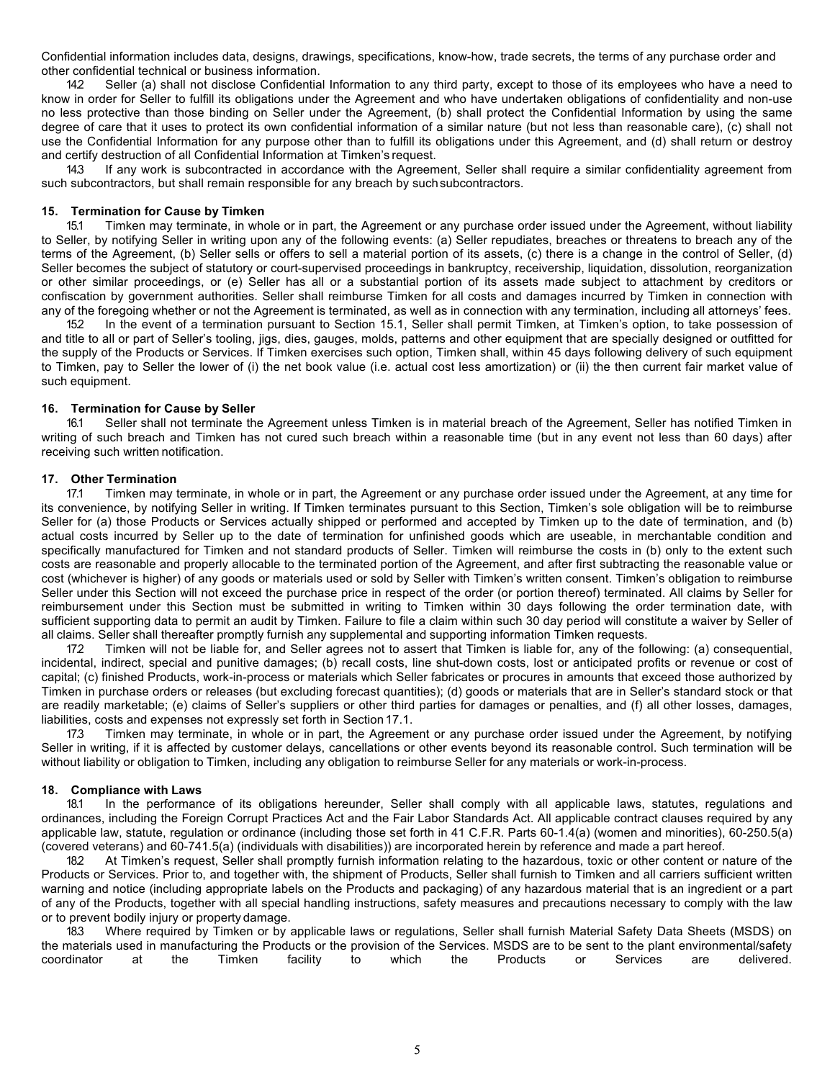Confidential information includes data, designs, drawings, specifications, know-how, trade secrets, the terms of any purchase order and other confidential technical or business information.

142 Seller (a) shall not disclose Confidential Information to any third party, except to those of its employees who have a need to know in order for Seller to fulfill its obligations under the Agreement and who have undertaken obligations of confidentiality and non-use no less protective than those binding on Seller under the Agreement, (b) shall protect the Confidential Information by using the same degree of care that it uses to protect its own confidential information of a similar nature (but not less than reasonable care), (c) shall not use the Confidential Information for any purpose other than to fulfill its obligations under this Agreement, and (d) shall return or destroy and certify destruction of all Confidential Information at Timken's request.

14.3 If any work is subcontracted in accordance with the Agreement, Seller shall require a similar confidentiality agreement from such subcontractors, but shall remain responsible for any breach by suchsubcontractors.

#### **15. Termination for Cause by Timken**

15.1 Timken may terminate, in whole or in part, the Agreement or any purchase order issued under the Agreement, without liability to Seller, by notifying Seller in writing upon any of the following events: (a) Seller repudiates, breaches or threatens to breach any of the terms of the Agreement, (b) Seller sells or offers to sell a material portion of its assets, (c) there is a change in the control of Seller, (d) Seller becomes the subject of statutory or court-supervised proceedings in bankruptcy, receivership, liquidation, dissolution, reorganization or other similar proceedings, or (e) Seller has all or a substantial portion of its assets made subject to attachment by creditors or confiscation by government authorities. Seller shall reimburse Timken for all costs and damages incurred by Timken in connection with any of the foregoing whether or not the Agreement is terminated, as well as in connection with any termination, including all attorneys' fees.

15.2 In the event of a termination pursuant to Section 15.1, Seller shall permit Timken, at Timken's option, to take possession of and title to all or part of Seller's tooling, jigs, dies, gauges, molds, patterns and other equipment that are specially designed or outfitted for the supply of the Products or Services. If Timken exercises such option, Timken shall, within 45 days following delivery of such equipment to Timken, pay to Seller the lower of (i) the net book value (i.e. actual cost less amortization) or (ii) the then current fair market value of such equipment.

#### **16. Termination for Cause by Seller**

16.1 Seller shall not terminate the Agreement unless Timken is in material breach of the Agreement, Seller has notified Timken in writing of such breach and Timken has not cured such breach within a reasonable time (but in any event not less than 60 days) after receiving such written notification.

#### **17. Other Termination**

17.1 Timken may terminate, in whole or in part, the Agreement or any purchase order issued under the Agreement, at any time for its convenience, by notifying Seller in writing. If Timken terminates pursuant to this Section, Timken's sole obligation will be to reimburse Seller for (a) those Products or Services actually shipped or performed and accepted by Timken up to the date of termination, and (b) actual costs incurred by Seller up to the date of termination for unfinished goods which are useable, in merchantable condition and specifically manufactured for Timken and not standard products of Seller. Timken will reimburse the costs in (b) only to the extent such costs are reasonable and properly allocable to the terminated portion of the Agreement, and after first subtracting the reasonable value or cost (whichever is higher) of any goods or materials used or sold by Seller with Timken's written consent. Timken's obligation to reimburse Seller under this Section will not exceed the purchase price in respect of the order (or portion thereof) terminated. All claims by Seller for reimbursement under this Section must be submitted in writing to Timken within 30 days following the order termination date, with sufficient supporting data to permit an audit by Timken. Failure to file a claim within such 30 day period will constitute a waiver by Seller of all claims. Seller shall thereafter promptly furnish any supplemental and supporting information Timken requests.

17.2 Timken will not be liable for, and Seller agrees not to assert that Timken is liable for, any of the following: (a) consequential, incidental, indirect, special and punitive damages; (b) recall costs, line shut-down costs, lost or anticipated profits or revenue or cost of capital; (c) finished Products, work-in-process or materials which Seller fabricates or procures in amounts that exceed those authorized by Timken in purchase orders or releases (but excluding forecast quantities); (d) goods or materials that are in Seller's standard stock or that are readily marketable; (e) claims of Seller's suppliers or other third parties for damages or penalties, and (f) all other losses, damages, liabilities, costs and expenses not expressly set forth in Section 17.1.

17.3 Timken may terminate, in whole or in part, the Agreement or any purchase order issued under the Agreement, by notifying Seller in writing, if it is affected by customer delays, cancellations or other events beyond its reasonable control. Such termination will be without liability or obligation to Timken, including any obligation to reimburse Seller for any materials or work-in-process.

#### **18. Compliance with Laws**

18.1 In the performance of its obligations hereunder, Seller shall comply with all applicable laws, statutes, regulations and ordinances, including the Foreign Corrupt Practices Act and the Fair Labor Standards Act. All applicable contract clauses required by any applicable law, statute, regulation or ordinance (including those set forth in 41 C.F.R. Parts 60-1.4(a) (women and minorities), 60-250.5(a) (covered veterans) and 60-741.5(a) (individuals with disabilities)) are incorporated herein by reference and made a part hereof.

18.2 At Timken's request, Seller shall promptly furnish information relating to the hazardous, toxic or other content or nature of the Products or Services. Prior to, and together with, the shipment of Products, Seller shall furnish to Timken and all carriers sufficient written warning and notice (including appropriate labels on the Products and packaging) of any hazardous material that is an ingredient or a part of any of the Products, together with all special handling instructions, safety measures and precautions necessary to comply with the law or to prevent bodily injury or property damage.

18.3 Where required by Timken or by applicable laws or regulations, Seller shall furnish Material Safety Data Sheets (MSDS) on the materials used in manufacturing the Products or the provision of the Services. MSDS are to be sent to the plant environmental/safety<br>coordinator at the Timken facility to which the Products or Services are delivered. coordinator at the Timken facility to which the Products or Services are delivered.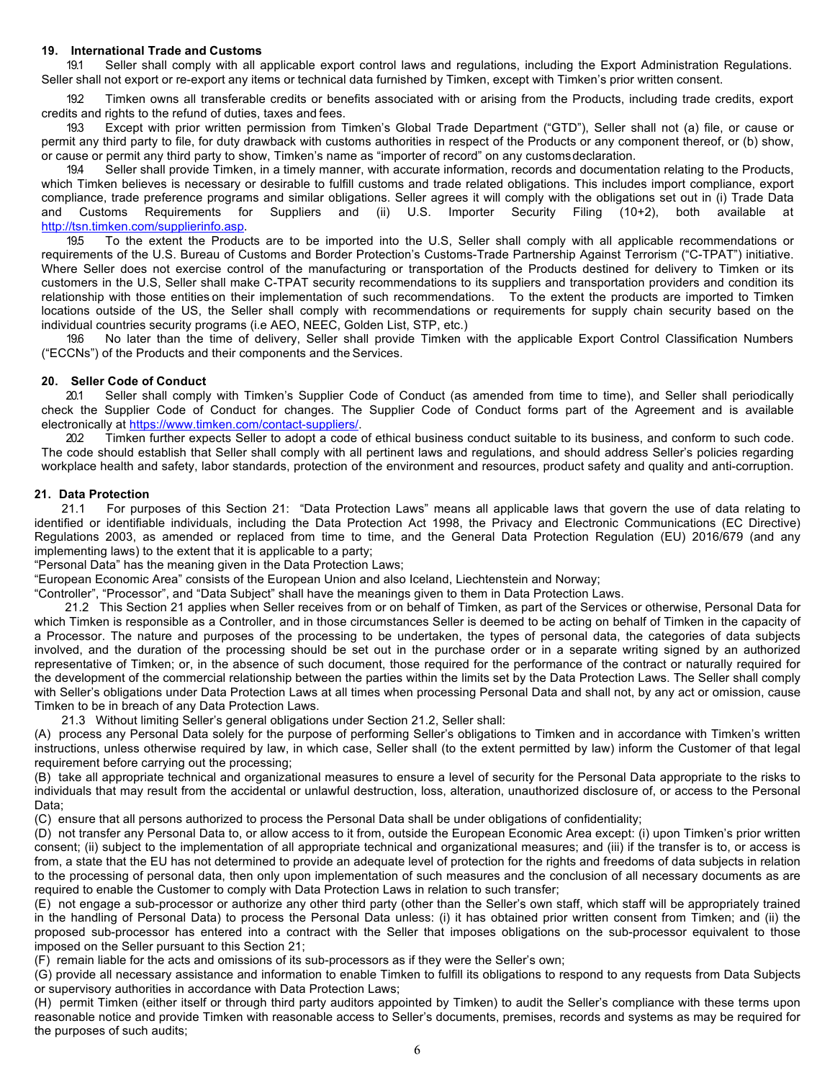#### **19. International Trade and Customs**

19.1 Seller shall comply with all applicable export control laws and regulations, including the Export Administration Regulations. Seller shall not export or re-export any items or technical data furnished by Timken, except with Timken's prior written consent.

192 Timken owns all transferable credits or benefits associated with or arising from the Products, including trade credits, export credits and rights to the refund of duties, taxes and fees.

19.3 Except with prior written permission from Timken's Global Trade Department ("GTD"), Seller shall not (a) file, or cause or permit any third party to file, for duty drawback with customs authorities in respect of the Products or any component thereof, or (b) show, or cause or permit any third party to show, Timken's name as "importer of record" on any customsdeclaration.

19.4 Seller shall provide Timken, in a timely manner, with accurate information, records and documentation relating to the Products, which Timken believes is necessary or desirable to fulfill customs and trade related obligations. This includes import compliance, export compliance, trade preference programs and similar obligations. Seller agrees it will comply with the obligations set out in (i) Trade Data and Customs Requirements for Suppliers and (ii) U.S. Importer Security Filing (10+2), both available http://tsn.timken.com/supplierinfo.asp.

19.5 To the extent the Products are to be imported into the U.S, Seller shall comply with all applicable recommendations or requirements of the U.S. Bureau of Customs and Border Protection's Customs-Trade Partnership Against Terrorism ("C-TPAT") initiative. Where Seller does not exercise control of the manufacturing or transportation of the Products destined for delivery to Timken or its customers in the U.S, Seller shall make C-TPAT security recommendations to its suppliers and transportation providers and condition its relationship with those entities on their implementation of such recommendations. To the extent the products are imported to Timken locations outside of the US, the Seller shall comply with recommendations or requirements for supply chain security based on the individual countries security programs (i.e AEO, NEEC, Golden List, STP, etc.)

19.6 No later than the time of delivery, Seller shall provide Timken with the applicable Export Control Classification Numbers ("ECCNs") of the Products and their components and the Services.

#### **20. Seller Code of Conduct**

20.1 Seller shall comply with Timken's Supplier Code of Conduct (as amended from time to time), and Seller shall periodically check the Supplier Code of Conduct for changes. The Supplier Code of Conduct forms part of the Agreement and is available electronically at https://www.timken.com/contact-suppliers/.

20.2 Timken further expects Seller to adopt a code of ethical business conduct suitable to its business, and conform to such code. The code should establish that Seller shall comply with all pertinent laws and regulations, and should address Seller's policies regarding workplace health and safety, labor standards, protection of the environment and resources, product safety and quality and anti-corruption.

# **21. Data Protection**

 21.1 For purposes of this Section 21: "Data Protection Laws" means all applicable laws that govern the use of data relating to identified or identifiable individuals, including the Data Protection Act 1998, the Privacy and Electronic Communications (EC Directive) Regulations 2003, as amended or replaced from time to time, and the General Data Protection Regulation (EU) 2016/679 (and any implementing laws) to the extent that it is applicable to a party;

"Personal Data" has the meaning given in the Data Protection Laws;

"European Economic Area" consists of the European Union and also Iceland, Liechtenstein and Norway;

"Controller", "Processor", and "Data Subject" shall have the meanings given to them in Data Protection Laws.

 21.2 This Section 21 applies when Seller receives from or on behalf of Timken, as part of the Services or otherwise, Personal Data for which Timken is responsible as a Controller, and in those circumstances Seller is deemed to be acting on behalf of Timken in the capacity of a Processor. The nature and purposes of the processing to be undertaken, the types of personal data, the categories of data subjects involved, and the duration of the processing should be set out in the purchase order or in a separate writing signed by an authorized representative of Timken; or, in the absence of such document, those required for the performance of the contract or naturally required for the development of the commercial relationship between the parties within the limits set by the Data Protection Laws. The Seller shall comply with Seller's obligations under Data Protection Laws at all times when processing Personal Data and shall not, by any act or omission, cause Timken to be in breach of any Data Protection Laws.

21.3 Without limiting Seller's general obligations under Section 21.2, Seller shall:

(A) process any Personal Data solely for the purpose of performing Seller's obligations to Timken and in accordance with Timken's written instructions, unless otherwise required by law, in which case, Seller shall (to the extent permitted by law) inform the Customer of that legal requirement before carrying out the processing;

(B) take all appropriate technical and organizational measures to ensure a level of security for the Personal Data appropriate to the risks to individuals that may result from the accidental or unlawful destruction, loss, alteration, unauthorized disclosure of, or access to the Personal Data;

(C) ensure that all persons authorized to process the Personal Data shall be under obligations of confidentiality;

(D) not transfer any Personal Data to, or allow access to it from, outside the European Economic Area except: (i) upon Timken's prior written consent; (ii) subject to the implementation of all appropriate technical and organizational measures; and (iii) if the transfer is to, or access is from, a state that the EU has not determined to provide an adequate level of protection for the rights and freedoms of data subjects in relation to the processing of personal data, then only upon implementation of such measures and the conclusion of all necessary documents as are required to enable the Customer to comply with Data Protection Laws in relation to such transfer;

(E) not engage a sub-processor or authorize any other third party (other than the Seller's own staff, which staff will be appropriately trained in the handling of Personal Data) to process the Personal Data unless: (i) it has obtained prior written consent from Timken; and (ii) the proposed sub-processor has entered into a contract with the Seller that imposes obligations on the sub-processor equivalent to those imposed on the Seller pursuant to this Section 21;

(F) remain liable for the acts and omissions of its sub-processors as if they were the Seller's own;

(G) provide all necessary assistance and information to enable Timken to fulfill its obligations to respond to any requests from Data Subjects or supervisory authorities in accordance with Data Protection Laws;

(H) permit Timken (either itself or through third party auditors appointed by Timken) to audit the Seller's compliance with these terms upon reasonable notice and provide Timken with reasonable access to Seller's documents, premises, records and systems as may be required for the purposes of such audits;